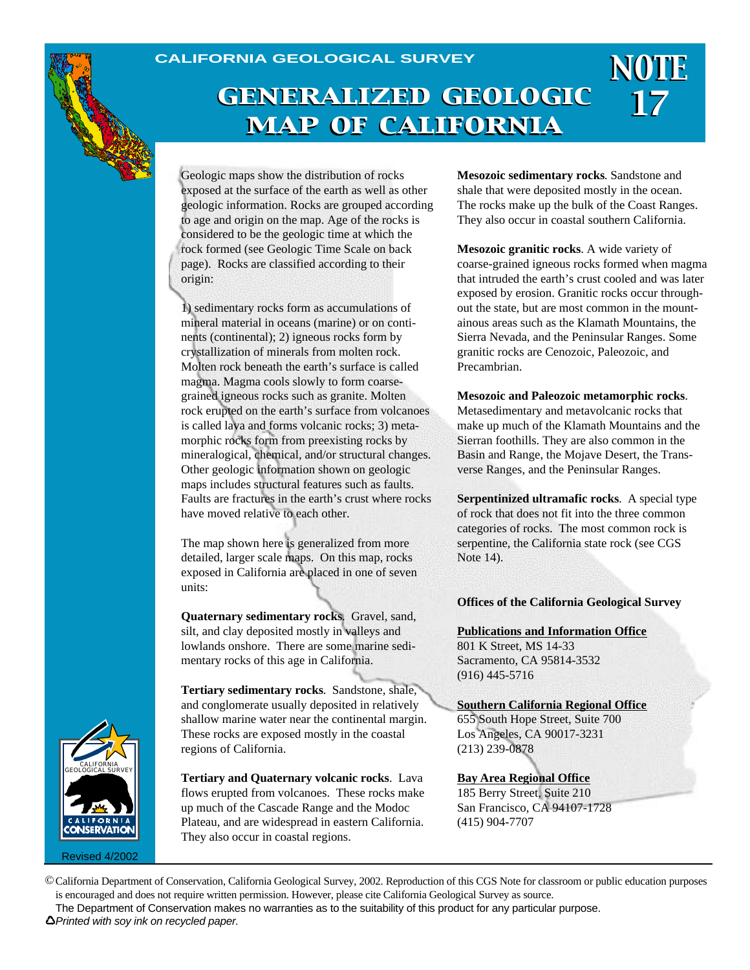#### **CALIFORNIA GEOLOGICAL SURVEY**

## *<sup>17</sup> generalized geologic map of california*

Geologic maps show the distribution of rocks exposed at the surface of the earth as well as other geologic information. Rocks are grouped according to age and origin on the map. Age of the rocks is considered to be the geologic time at which the rock formed (see Geologic Time Scale on back page). Rocks are classified according to their origin:

1) sedimentary rocks form as accumulations of mineral material in oceans (marine) or on continents (continental); 2) igneous rocks form by crystallization of minerals from molten rock. Molten rock beneath the earth's surface is called magma. Magma cools slowly to form coarsegrained igneous rocks such as granite. Molten rock erupted on the earth's surface from volcanoes is called lava and forms volcanic rocks; 3) metamorphic rocks form from preexisting rocks by mineralogical, chemical, and/or structural changes. Other geologic information shown on geologic maps includes structural features such as faults. Faults are fractures in the earth's crust where rocks have moved relative to each other.

The map shown here is generalized from more detailed, larger scale maps. On this map, rocks exposed in California are placed in one of seven units:

**Quaternary sedimentary rocks**. Gravel, sand, silt, and clay deposited mostly in valleys and lowlands onshore. There are some marine sedimentary rocks of this age in California.

**Tertiary sedimentary rocks**. Sandstone, shale, and conglomerate usually deposited in relatively shallow marine water near the continental margin. These rocks are exposed mostly in the coastal regions of California.

**Tertiary and Quaternary volcanic rocks**. Lava flows erupted from volcanoes. These rocks make up much of the Cascade Range and the Modoc Plateau, and are widespread in eastern California. They also occur in coastal regions.

**Mesozoic sedimentary rocks**. Sandstone and shale that were deposited mostly in the ocean. The rocks make up the bulk of the Coast Ranges. They also occur in coastal southern California.

*NOTE*

**Mesozoic granitic rocks**. A wide variety of coarse-grained igneous rocks formed when magma that intruded the earth's crust cooled and was later exposed by erosion. Granitic rocks occur throughout the state, but are most common in the mountainous areas such as the Klamath Mountains, the Sierra Nevada, and the Peninsular Ranges. Some granitic rocks are Cenozoic, Paleozoic, and Precambrian.

**Mesozoic and Paleozoic metamorphic rocks**.

Metasedimentary and metavolcanic rocks that make up much of the Klamath Mountains and the Sierran foothills. They are also common in the Basin and Range, the Mojave Desert, the Transverse Ranges, and the Peninsular Ranges.

**Serpentinized ultramafic rocks**. A special type of rock that does not fit into the three common categories of rocks. The most common rock is serpentine, the California state rock (see CGS Note 14).

**Offices of the California Geological Survey**

**Publications and Information Office** 801 K Street, MS 14-33 Sacramento, CA 95814-3532 (916) 445-5716

**Southern California Regional Office**

655 South Hope Street, Suite 700 Los Angeles, CA 90017-3231 (213) 239-0878

**Bay Area Regional Office**

185 Berry Street, Suite 210 San Francisco, CA 94107-1728 (415) 904-7707



Revised 4/2002

©California Department of Conservation, California Geological Survey, 2002. Reproduction of this CGS Note for classroom or public education purposes is encouraged and does not require written permission. However, please cite California Geological Survey as source.

The Department of Conservation makes no warranties as to the suitability of this product for any particular purpose.

*Printed with soy ink on recycled paper.*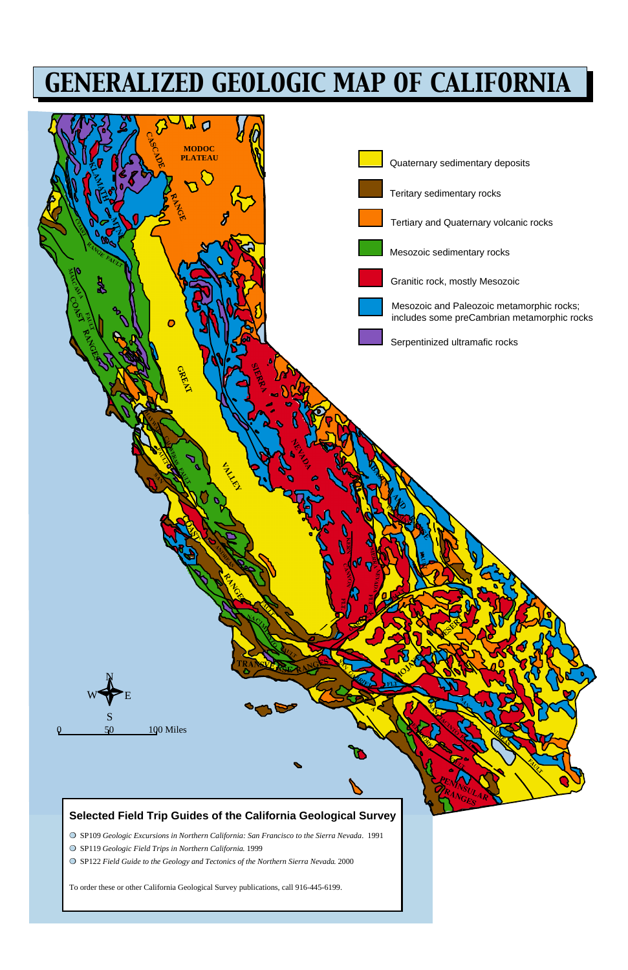# *GENERALIZED GEOLOGIC MAP OF CALIFORNIA*

### **Selected Field Trip Guides of the California Geological Survey**

- ❍ SP109 *Geologic Excursions in Northern California: San Francisco to the Sierra Nevada*. 1991
- ❍ SP119 *Geologic Field Trips in Northern California*. 1999

 $\sqrt{0}$  50 100 Miles

❍ SP122 *Field Guide to the Geology and Tectonics of the Northern Sierra Nevada*. 2000

To order these or other California Geological Survey publications, call 916-445-6199.